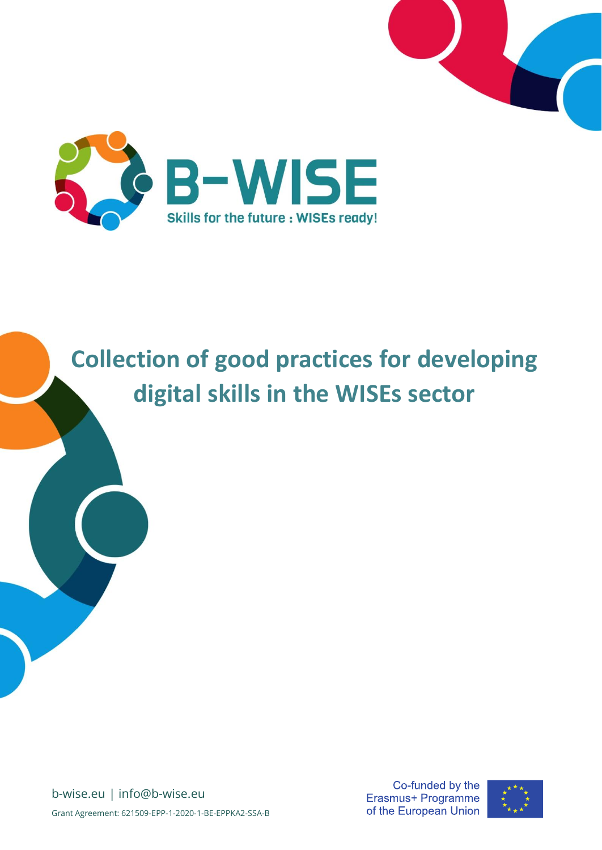



# **Collection of good practices for developing digital skills in the WISEs sector**

b-wise.eu | info@b-wise.eu Grant Agreement: 621509-EPP-1-2020-1-BE-EPPKA2-SSA-B

Co-funded by the Erasmus+ Programme of the European Union

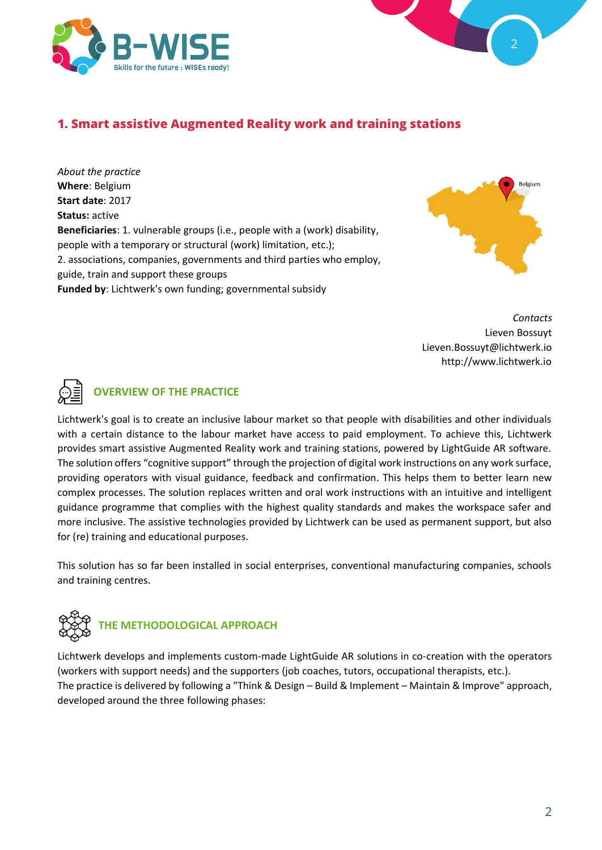



## **1. Smart assistive Augmented Reality work and training stations**

*About the practice* **Where**: Belgium **Start date**: 2017 **Status:** active **Beneficiaries**: 1. vulnerable groups (i.e., people with a (work) disability, people with a temporary or structural (work) limitation, etc.); 2. associations, companies, governments and third parties who employ, guide, train and support these groups **Funded by**: Lichtwerk's own funding; governmental subsidy



 *Contacts* Lieven Bossuyt Lieven.Bossuyt@lichtwerk.io http://www.lichtwerk.io



# **OVERVIEW OF THE PRACTICE**

Lichtwerk's goal is to create an inclusive labour market so that people with disabilities and other individuals with a certain distance to the labour market have access to paid employment. To achieve this, Lichtwerk provides smart assistive Augmented Reality work and training stations, powered by LightGuide AR software. The solution offers "cognitive support" through the projection of digital work instructions on any work surface, providing operators with visual guidance, feedback and confirmation. This helps them to better learn new complex processes. The solution replaces written and oral work instructions with an intuitive and intelligent guidance programme that complies with the highest quality standards and makes the workspace safer and more inclusive. The assistive technologies provided by Lichtwerk can be used as permanent support, but also for (re) training and educational purposes.

This solution has so far been installed in social enterprises, conventional manufacturing companies, schools and training centres.



Lichtwerk develops and implements custom-made LightGuide AR solutions in co-creation with the operators (workers with support needs) and the supporters (job coaches, tutors, occupational therapists, etc.). The practice is delivered by following a "Think & Design – Build & Implement – Maintain & Improve" approach, developed around the three following phases: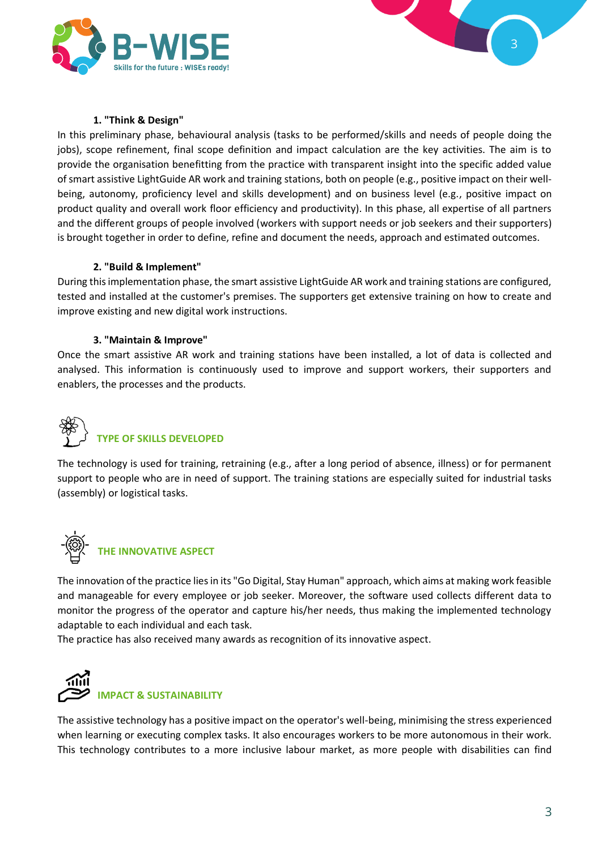



#### **1. "Think & Design"**

In this preliminary phase, behavioural analysis (tasks to be performed/skills and needs of people doing the jobs), scope refinement, final scope definition and impact calculation are the key activities. The aim is to provide the organisation benefitting from the practice with transparent insight into the specific added value of smart assistive LightGuide AR work and training stations, both on people (e.g., positive impact on their wellbeing, autonomy, proficiency level and skills development) and on business level (e.g., positive impact on product quality and overall work floor efficiency and productivity). In this phase, all expertise of all partners and the different groups of people involved (workers with support needs or job seekers and their supporters) is brought together in order to define, refine and document the needs, approach and estimated outcomes.

#### **2. "Build & Implement"**

During this implementation phase, the smart assistive LightGuide AR work and training stations are configured, tested and installed at the customer's premises. The supporters get extensive training on how to create and improve existing and new digital work instructions.

#### **3. "Maintain & Improve"**

Once the smart assistive AR work and training stations have been installed, a lot of data is collected and analysed. This information is continuously used to improve and support workers, their supporters and enablers, the processes and the products.

# **TYPE OF SKILLS DEVELOPED**

The technology is used for training, retraining (e.g., after a long period of absence, illness) or for permanent support to people who are in need of support. The training stations are especially suited for industrial tasks (assembly) or logistical tasks.



#### **THE INNOVATIVE ASPECT**

The innovation of the practice lies in its "Go Digital, Stay Human" approach, which aims at making work feasible and manageable for every employee or job seeker. Moreover, the software used collects different data to monitor the progress of the operator and capture his/her needs, thus making the implemented technology adaptable to each individual and each task.

The practice has also received many awards as recognition of its innovative aspect.



The assistive technology has a positive impact on the operator's well-being, minimising the stress experienced when learning or executing complex tasks. It also encourages workers to be more autonomous in their work. This technology contributes to a more inclusive labour market, as more people with disabilities can find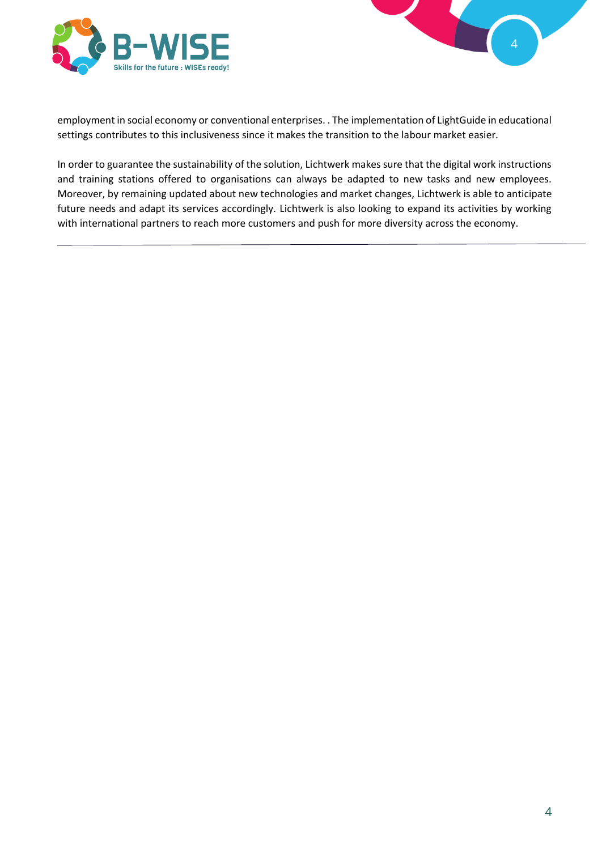



employment in social economy or conventional enterprises. . The implementation of LightGuide in educational settings contributes to this inclusiveness since it makes the transition to the labour market easier.

In order to guarantee the sustainability of the solution, Lichtwerk makes sure that the digital work instructions and training stations offered to organisations can always be adapted to new tasks and new employees. Moreover, by remaining updated about new technologies and market changes, Lichtwerk is able to anticipate future needs and adapt its services accordingly. Lichtwerk is also looking to expand its activities by working with international partners to reach more customers and push for more diversity across the economy.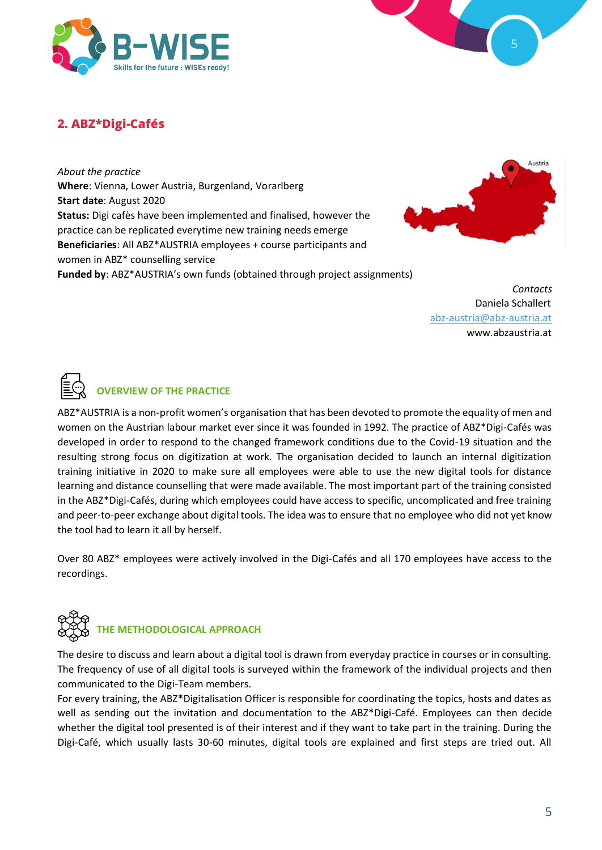



# **2. ABZ\*Digi-Cafés**

*About the practice* **Where**: Vienna, Lower Austria, Burgenland, Vorarlberg **Start date**: August 2020 **Status:** Digi cafès have been implemented and finalised, however the practice can be replicated everytime new training needs emerge **Beneficiaries**: All ABZ\*AUSTRIA employees + course participants and women in ABZ\* counselling service **Funded by**: ABZ\*AUSTRIA's own funds (obtained through project assignments)



*Contacts* Daniela Schallert abz-austria@abz-austria.at www.abzaustria.at



# **OVERVIEW OF THE PRACTICE**

ABZ\*AUSTRIA is a non-profit women's organisation that has been devoted to promote the equality of men and women on the Austrian labour market ever since it was founded in 1992. The practice of ABZ\*Digi-Cafés was developed in order to respond to the changed framework conditions due to the Covid-19 situation and the resulting strong focus on digitization at work. The organisation decided to launch an internal digitization training initiative in 2020 to make sure all employees were able to use the new digital tools for distance learning and distance counselling that were made available. The most important part of the training consisted in the ABZ\*Digi-Cafés, during which employees could have access to specific, uncomplicated and free training and peer-to-peer exchange about digital tools. The idea was to ensure that no employee who did not yet know the tool had to learn it all by herself.

Over 80 ABZ\* employees were actively involved in the Digi-Cafés and all 170 employees have access to the recordings.



#### **THE METHODOLOGICAL APPROACH**

The desire to discuss and learn about a digital tool is drawn from everyday practice in courses or in consulting. The frequency of use of all digital tools is surveyed within the framework of the individual projects and then communicated to the Digi-Team members.

For every training, the ABZ\*Digitalisation Officer is responsible for coordinating the topics, hosts and dates as well as sending out the invitation and documentation to the ABZ\*Digi-Café. Employees can then decide whether the digital tool presented is of their interest and if they want to take part in the training. During the Digi-Café, which usually lasts 30-60 minutes, digital tools are explained and first steps are tried out. All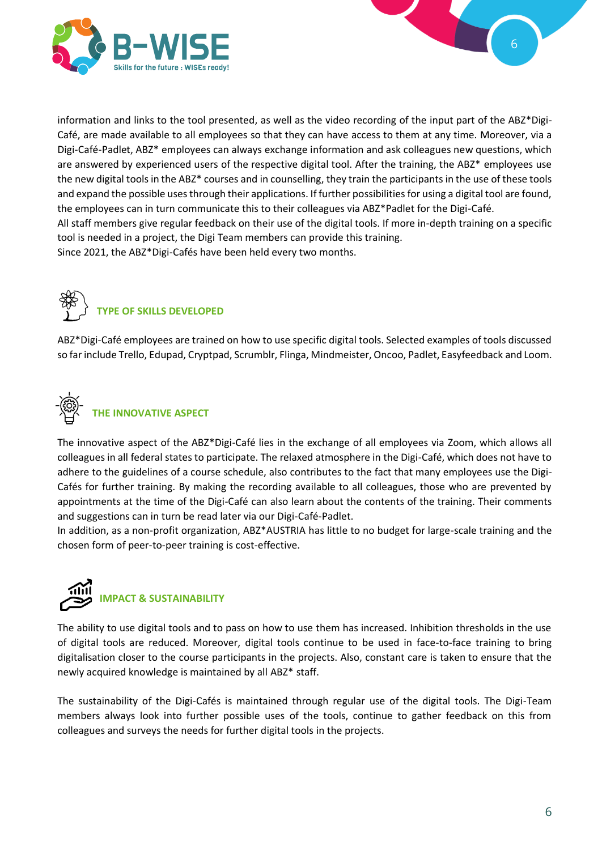



information and links to the tool presented, as well as the video recording of the input part of the ABZ\*Digi-Café, are made available to all employees so that they can have access to them at any time. Moreover, via a Digi-Café-Padlet, ABZ\* employees can always exchange information and ask colleagues new questions, which are answered by experienced users of the respective digital tool. After the training, the ABZ\* employees use the new digital tools in the ABZ\* courses and in counselling, they train the participants in the use of these tools and expand the possible uses through their applications. If further possibilities for using a digital tool are found, the employees can in turn communicate this to their colleagues via ABZ\*Padlet for the Digi-Café. All staff members give regular feedback on their use of the digital tools. If more in-depth training on a specific tool is needed in a project, the Digi Team members can provide this training. Since 2021, the ABZ\*Digi-Cafés have been held every two months.



ABZ\*Digi-Café employees are trained on how to use specific digital tools. Selected examples of tools discussed so far include Trello, Edupad, Cryptpad, Scrumblr, Flinga, Mindmeister, Oncoo, Padlet, Easyfeedback and Loom.



**THE INNOVATIVE ASPECT** 

The innovative aspect of the ABZ\*Digi-Café lies in the exchange of all employees via Zoom, which allows all colleagues in all federal states to participate. The relaxed atmosphere in the Digi-Café, which does not have to adhere to the guidelines of a course schedule, also contributes to the fact that many employees use the Digi-Cafés for further training. By making the recording available to all colleagues, those who are prevented by appointments at the time of the Digi-Café can also learn about the contents of the training. Their comments and suggestions can in turn be read later via our Digi-Café-Padlet.

In addition, as a non-profit organization, ABZ\*AUSTRIA has little to no budget for large-scale training and the chosen form of peer-to-peer training is cost-effective.



The ability to use digital tools and to pass on how to use them has increased. Inhibition thresholds in the use of digital tools are reduced. Moreover, digital tools continue to be used in face-to-face training to bring digitalisation closer to the course participants in the projects. Also, constant care is taken to ensure that the newly acquired knowledge is maintained by all ABZ\* staff.

The sustainability of the Digi-Cafés is maintained through regular use of the digital tools. The Digi-Team members always look into further possible uses of the tools, continue to gather feedback on this from colleagues and surveys the needs for further digital tools in the projects.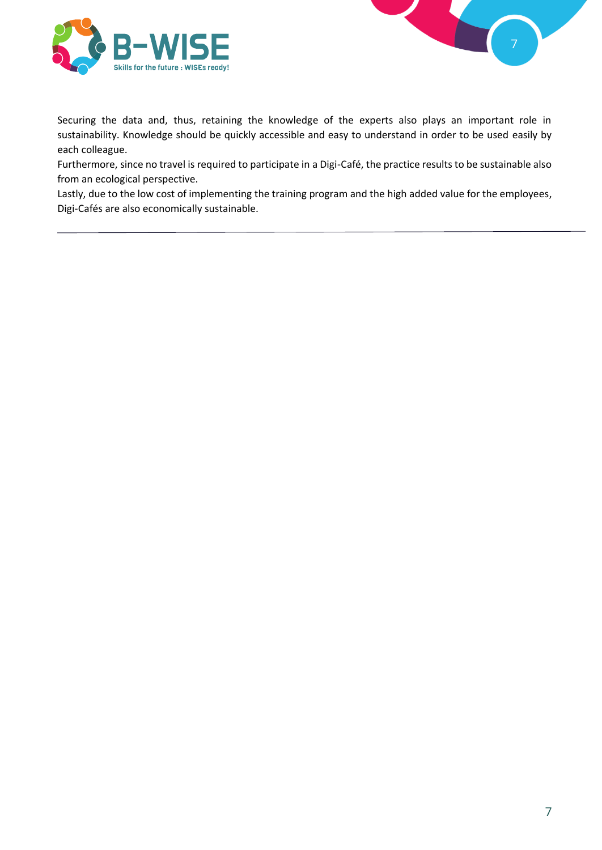



Securing the data and, thus, retaining the knowledge of the experts also plays an important role in sustainability. Knowledge should be quickly accessible and easy to understand in order to be used easily by each colleague.

Furthermore, since no travel is required to participate in a Digi-Café, the practice results to be sustainable also from an ecological perspective.

Lastly, due to the low cost of implementing the training program and the high added value for the employees, Digi-Cafés are also economically sustainable.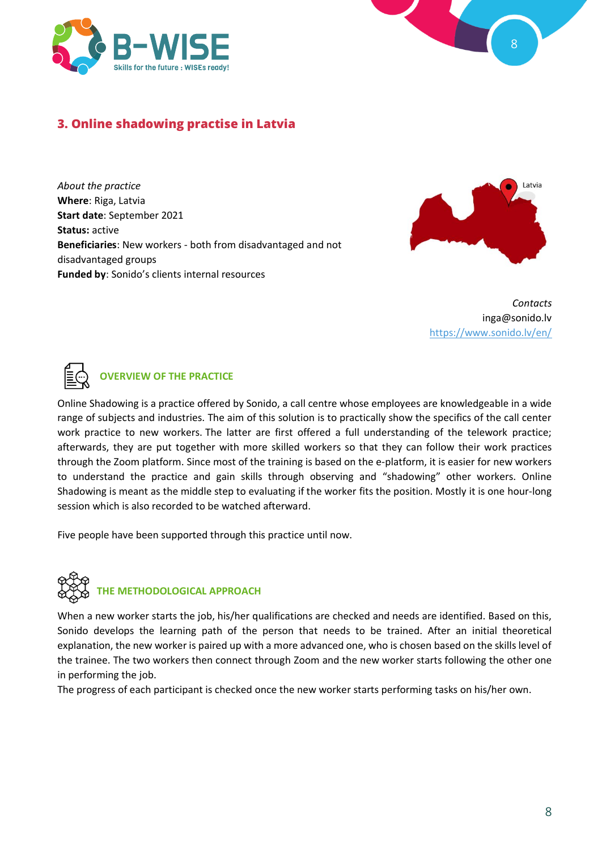



# **3. Online shadowing practise in Latvia**

*About the practice* **Where**: Riga, Latvia **Start date**: September 2021 **Status:** active **Beneficiaries**: New workers - both from disadvantaged and not disadvantaged groups **Funded by**: Sonido's clients internal resources



*Contacts* inga@sonido.lv <https://www.sonido.lv/en/>



#### **OVERVIEW OF THE PRACTICE**

Online Shadowing is a practice offered by Sonido, a call centre whose employees are knowledgeable in a wide range of subjects and industries. The aim of this solution is to practically show the specifics of the call center work practice to new workers. The latter are first offered a full understanding of the telework practice; afterwards, they are put together with more skilled workers so that they can follow their work practices through the Zoom platform. Since most of the training is based on the e-platform, it is easier for new workers to understand the practice and gain skills through observing and "shadowing" other workers. Online Shadowing is meant as the middle step to evaluating if the worker fits the position. Mostly it is one hour-long session which is also recorded to be watched afterward.

Five people have been supported through this practice until now.



When a new worker starts the job, his/her qualifications are checked and needs are identified. Based on this, Sonido develops the learning path of the person that needs to be trained. After an initial theoretical explanation, the new worker is paired up with a more advanced one, who is chosen based on the skills level of the trainee. The two workers then connect through Zoom and the new worker starts following the other one in performing the job.

The progress of each participant is checked once the new worker starts performing tasks on his/her own.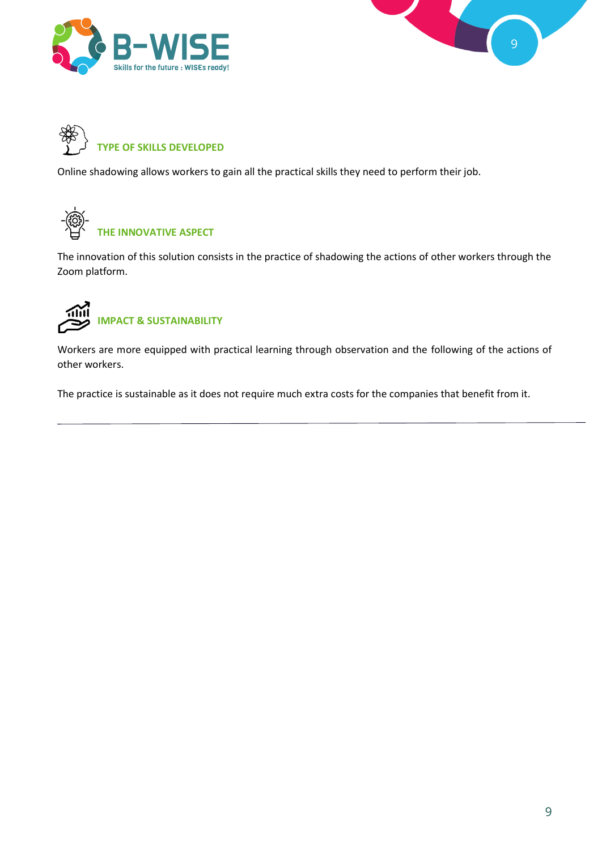

![](_page_8_Picture_1.jpeg)

![](_page_8_Picture_2.jpeg)

Online shadowing allows workers to gain all the practical skills they need to perform their job.

![](_page_8_Picture_4.jpeg)

The innovation of this solution consists in the practice of shadowing the actions of other workers through the Zoom platform.

![](_page_8_Picture_6.jpeg)

Workers are more equipped with practical learning through observation and the following of the actions of other workers.

The practice is sustainable as it does not require much extra costs for the companies that benefit from it.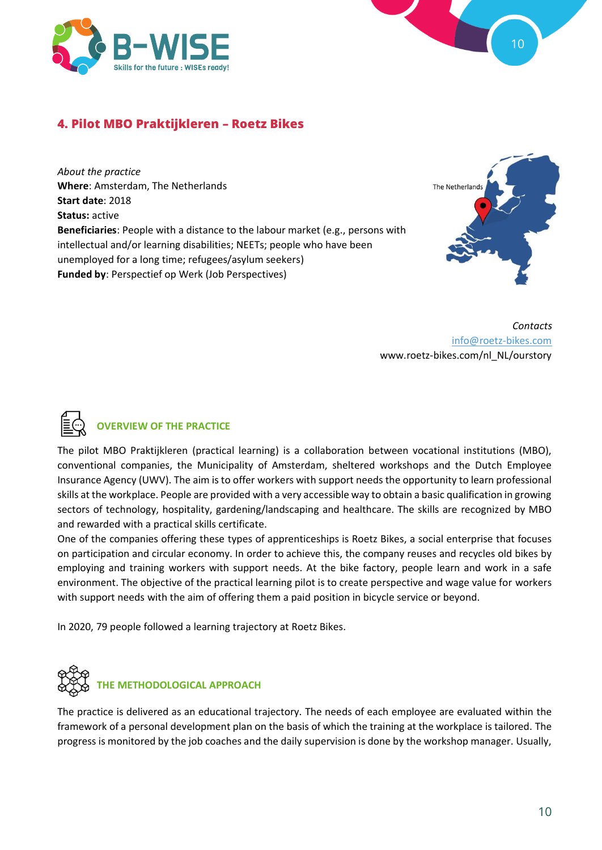![](_page_9_Picture_0.jpeg)

![](_page_9_Figure_1.jpeg)

# **4. Pilot MBO Praktijkleren – Roetz Bikes**

*About the practice* **Where**: Amsterdam, The Netherlands **Start date**: 2018 **Status:** active **Beneficiaries**: People with a distance to the labour market (e.g., persons with intellectual and/or learning disabilities; NEETs; people who have been unemployed for a long time; refugees/asylum seekers) **Funded by**: Perspectief op Werk (Job Perspectives)

![](_page_9_Picture_4.jpeg)

*Contacts* [info@roetz-bikes.com](mailto:info@roetz-bikes.com) www.roetz-bikes.com/nl\_NL/ourstory

![](_page_9_Picture_6.jpeg)

#### **OVERVIEW OF THE PRACTICE**

The pilot MBO Praktijkleren (practical learning) is a collaboration between vocational institutions (MBO), conventional companies, the Municipality of Amsterdam, sheltered workshops and the Dutch Employee Insurance Agency (UWV). The aim is to offer workers with support needs the opportunity to learn professional skills at the workplace. People are provided with a very accessible way to obtain a basic qualification in growing sectors of technology, hospitality, gardening/landscaping and healthcare. The skills are recognized by MBO and rewarded with a practical skills certificate.

One of the companies offering these types of apprenticeships is Roetz Bikes, a social enterprise that focuses on participation and circular economy. In order to achieve this, the company reuses and recycles old bikes by employing and training workers with support needs. At the bike factory, people learn and work in a safe environment. The objective of the practical learning pilot is to create perspective and wage value for workers with support needs with the aim of offering them a paid position in bicycle service or beyond.

In 2020, 79 people followed a learning trajectory at Roetz Bikes.

![](_page_9_Picture_11.jpeg)

The practice is delivered as an educational trajectory. The needs of each employee are evaluated within the framework of a personal development plan on the basis of which the training at the workplace is tailored. The progress is monitored by the job coaches and the daily supervision is done by the workshop manager. Usually,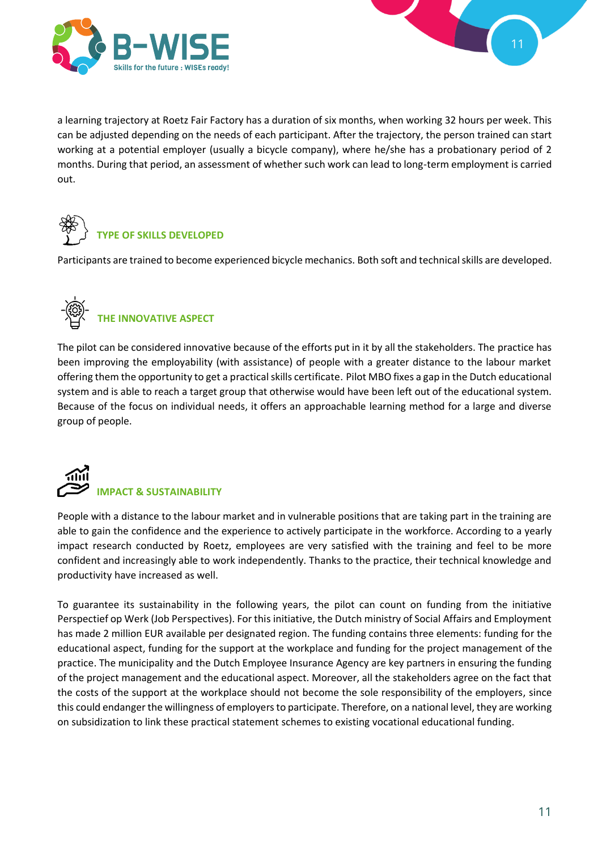![](_page_10_Picture_0.jpeg)

![](_page_10_Figure_1.jpeg)

a learning trajectory at Roetz Fair Factory has a duration of six months, when working 32 hours per week. This can be adjusted depending on the needs of each participant. After the trajectory, the person trained can start working at a potential employer (usually a bicycle company), where he/she has a probationary period of 2 months. During that period, an assessment of whether such work can lead to long-term employment is carried out.

![](_page_10_Picture_3.jpeg)

Participants are trained to become experienced bicycle mechanics. Both soft and technical skills are developed.

![](_page_10_Picture_5.jpeg)

# **THE INNOVATIVE ASPECT**

The pilot can be considered innovative because of the efforts put in it by all the stakeholders. The practice has been improving the employability (with assistance) of people with a greater distance to the labour market offering them the opportunity to get a practical skills certificate. Pilot MBO fixes a gap in the Dutch educational system and is able to reach a target group that otherwise would have been left out of the educational system. Because of the focus on individual needs, it offers an approachable learning method for a large and diverse group of people.

![](_page_10_Picture_8.jpeg)

People with a distance to the labour market and in vulnerable positions that are taking part in the training are able to gain the confidence and the experience to actively participate in the workforce. According to a yearly impact research conducted by Roetz, employees are very satisfied with the training and feel to be more confident and increasingly able to work independently. Thanks to the practice, their technical knowledge and productivity have increased as well.

To guarantee its sustainability in the following years, the pilot can count on funding from the initiative Perspectief op Werk (Job Perspectives). For this initiative, the Dutch ministry of Social Affairs and Employment has made 2 million EUR available per designated region. The funding contains three elements: funding for the educational aspect, funding for the support at the workplace and funding for the project management of the practice. The municipality and the Dutch Employee Insurance Agency are key partners in ensuring the funding of the project management and the educational aspect. Moreover, all the stakeholders agree on the fact that the costs of the support at the workplace should not become the sole responsibility of the employers, since this could endanger the willingness of employers to participate. Therefore, on a national level, they are working on subsidization to link these practical statement schemes to existing vocational educational funding.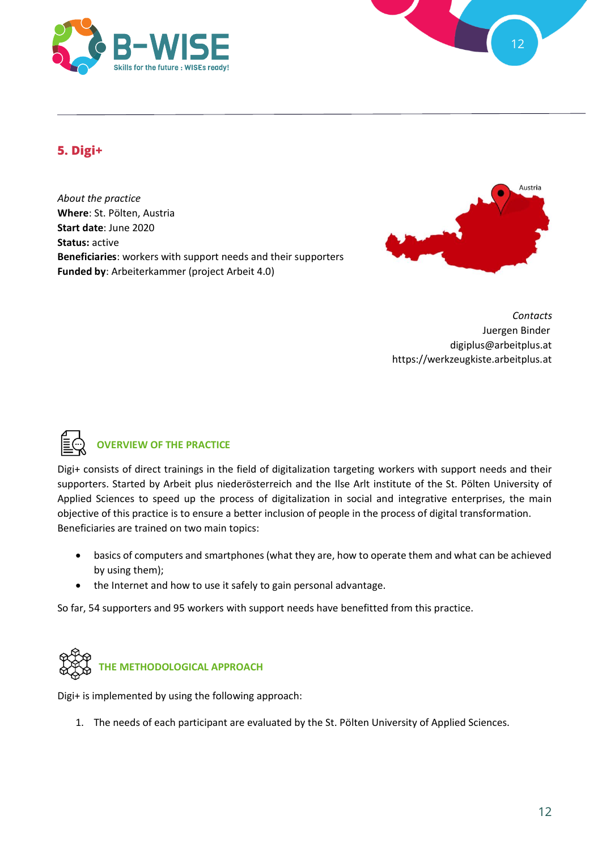![](_page_11_Picture_0.jpeg)

![](_page_11_Figure_1.jpeg)

# **5. Digi+**

*About the practice* **Where**: St. Pölten, Austria **Start date**: June 2020 **Status:** active **Beneficiaries**: workers with support needs and their supporters **Funded by**: Arbeiterkammer (project Arbeit 4.0)

![](_page_11_Picture_4.jpeg)

*Contacts* Juergen Binder digiplus@arbeitplus.at https://werkzeugkiste.arbeitplus.at

![](_page_11_Picture_6.jpeg)

### **OVERVIEW OF THE PRACTICE**

Digi+ consists of direct trainings in the field of digitalization targeting workers with support needs and their supporters. Started by Arbeit plus niederösterreich and the Ilse Arlt institute of the St. Pölten University of Applied Sciences to speed up the process of digitalization in social and integrative enterprises, the main objective of this practice is to ensure a better inclusion of people in the process of digital transformation. Beneficiaries are trained on two main topics:

- basics of computers and smartphones (what they are, how to operate them and what can be achieved by using them);
- the Internet and how to use it safely to gain personal advantage.

So far, 54 supporters and 95 workers with support needs have benefitted from this practice.

![](_page_11_Picture_12.jpeg)

Digi+ is implemented by using the following approach:

1. The needs of each participant are evaluated by the St. Pölten University of Applied Sciences.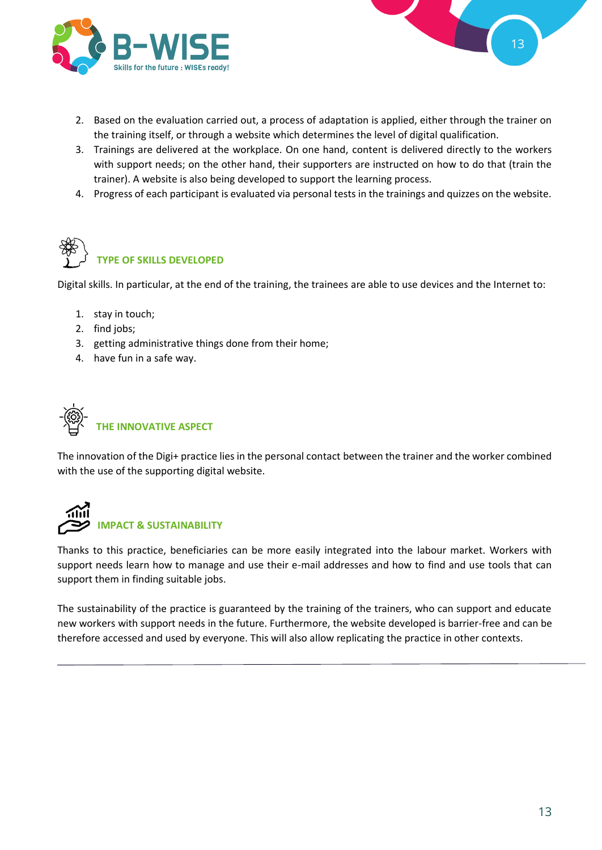![](_page_12_Picture_0.jpeg)

![](_page_12_Figure_1.jpeg)

- 2. Based on the evaluation carried out, a process of adaptation is applied, either through the trainer on the training itself, or through a website which determines the level of digital qualification.
- 3. Trainings are delivered at the workplace. On one hand, content is delivered directly to the workers with support needs; on the other hand, their supporters are instructed on how to do that (train the trainer). A website is also being developed to support the learning process.
- 4. Progress of each participant is evaluated via personal tests in the trainings and quizzes on the website.

![](_page_12_Picture_5.jpeg)

Digital skills. In particular, at the end of the training, the trainees are able to use devices and the Internet to:

- 1. stay in touch;
- 2. find jobs;
- 3. getting administrative things done from their home;
- 4. have fun in a safe way.

![](_page_12_Picture_11.jpeg)

The innovation of the Digi+ practice lies in the personal contact between the trainer and the worker combined with the use of the supporting digital website.

![](_page_12_Picture_13.jpeg)

Thanks to this practice, beneficiaries can be more easily integrated into the labour market. Workers with support needs learn how to manage and use their e-mail addresses and how to find and use tools that can support them in finding suitable jobs.

The sustainability of the practice is guaranteed by the training of the trainers, who can support and educate new workers with support needs in the future. Furthermore, the website developed is barrier-free and can be therefore accessed and used by everyone. This will also allow replicating the practice in other contexts.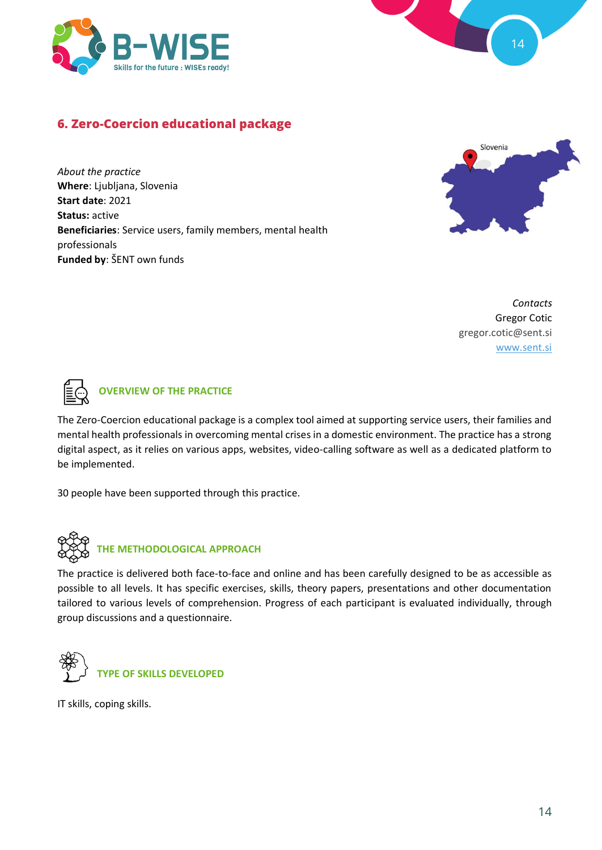![](_page_13_Picture_0.jpeg)

![](_page_13_Figure_1.jpeg)

# **6. Zero-Coercion educational package**

*About the practice* **Where**: Ljubljana, Slovenia **Start date**: 2021 **Status:** active **Beneficiaries**: Service users, family members, mental health professionals **Funded by**: ŠENT own funds

![](_page_13_Picture_4.jpeg)

*Contacts* Gregor Cotic gregor.cotic@sent.si [www.sent.si](http://www.sent.si/)

![](_page_13_Picture_6.jpeg)

### **OVERVIEW OF THE PRACTICE**

The Zero-Coercion educational package is a complex tool aimed at supporting service users, their families and mental health professionals in overcoming mental crises in a domestic environment. The practice has a strong digital aspect, as it relies on various apps, websites, video-calling software as well as a dedicated platform to be implemented.

30 people have been supported through this practice.

![](_page_13_Picture_10.jpeg)

#### **THE METHODOLOGICAL APPROACH**

The practice is delivered both face-to-face and online and has been carefully designed to be as accessible as possible to all levels. It has specific exercises, skills, theory papers, presentations and other documentation tailored to various levels of comprehension. Progress of each participant is evaluated individually, through group discussions and a questionnaire.

![](_page_13_Picture_13.jpeg)

IT skills, coping skills.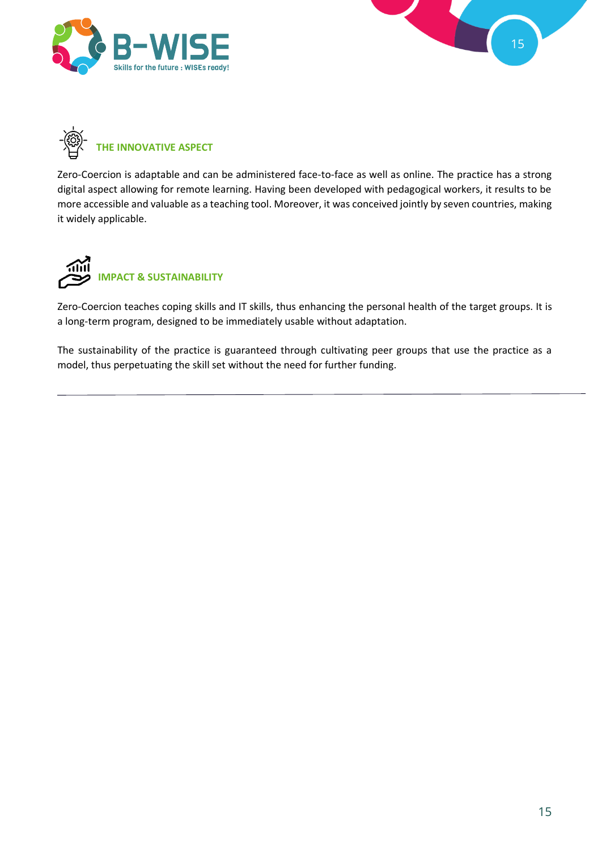![](_page_14_Picture_0.jpeg)

![](_page_14_Figure_1.jpeg)

![](_page_14_Picture_2.jpeg)

Zero-Coercion is adaptable and can be administered face-to-face as well as online. The practice has a strong digital aspect allowing for remote learning. Having been developed with pedagogical workers, it results to be more accessible and valuable as a teaching tool. Moreover, it was conceived jointly by seven countries, making it widely applicable.

![](_page_14_Picture_4.jpeg)

Zero-Coercion teaches coping skills and IT skills, thus enhancing the personal health of the target groups. It is a long-term program, designed to be immediately usable without adaptation.

The sustainability of the practice is guaranteed through cultivating peer groups that use the practice as a model, thus perpetuating the skill set without the need for further funding.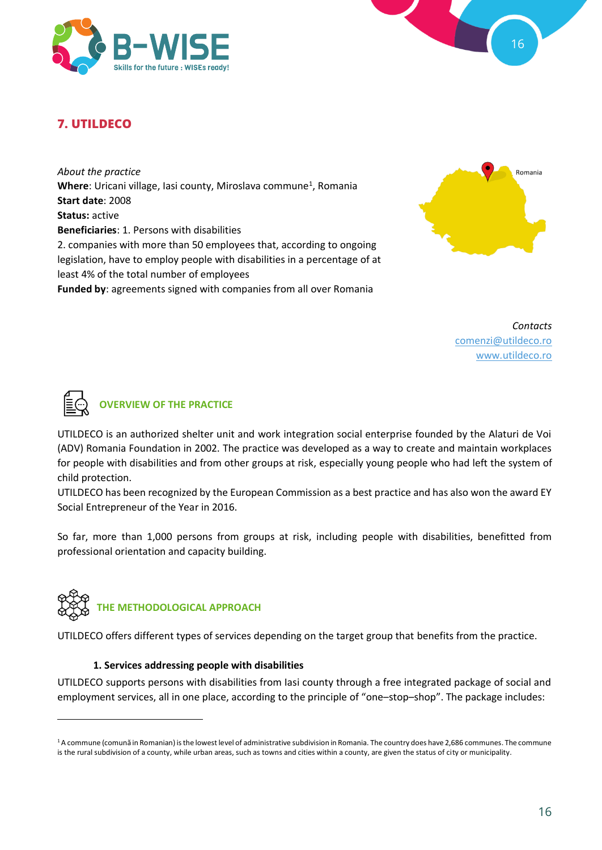![](_page_15_Picture_0.jpeg)

![](_page_15_Figure_1.jpeg)

# **7. UTILDECO**

*About the practice* Where: Uricani village, Iasi county, Miroslava commune<sup>1</sup>, Romania **Start date**: 2008 **Status:** active **Beneficiaries**: 1. Persons with disabilities 2. companies with more than 50 employees that, according to ongoing legislation, have to employ people with disabilities in a percentage of at least 4% of the total number of employees **Funded by**: agreements signed with companies from all over Romania

![](_page_15_Picture_4.jpeg)

*Contacts* [comenzi@utildeco.ro](mailto:comenzi@utildeco.ro) [www.utildeco.ro](http://www.utildeco.ro/)

![](_page_15_Picture_6.jpeg)

#### **OVERVIEW OF THE PRACTICE**

UTILDECO is an authorized shelter unit and work integration social enterprise founded by the Alaturi de Voi (ADV) Romania Foundation in 2002. The practice was developed as a way to create and maintain workplaces for people with disabilities and from other groups at risk, especially young people who had left the system of child protection.

UTILDECO has been recognized by the European Commission as a best practice and has also won the award EY Social Entrepreneur of the Year in 2016.

So far, more than 1,000 persons from groups at risk, including people with disabilities, benefitted from professional orientation and capacity building.

![](_page_15_Picture_11.jpeg)

#### **THE METHODOLOGICAL APPROACH**

UTILDECO offers different types of services depending on the target group that benefits from the practice.

#### **1. Services addressing people with disabilities**

UTILDECO supports persons with disabilities from Iasi county through a free integrated package of social and employment services, all in one place, according to the principle of "one–stop–shop". The package includes:

<sup>&</sup>lt;sup>1</sup> A commune (comună in Romanian) is the lowest level of administrative subdivision in Romania. The country does have 2,686 communes. The commune is the rural subdivision of a county, while urban areas, such as towns and cities within a county, are given the status of city or municipality.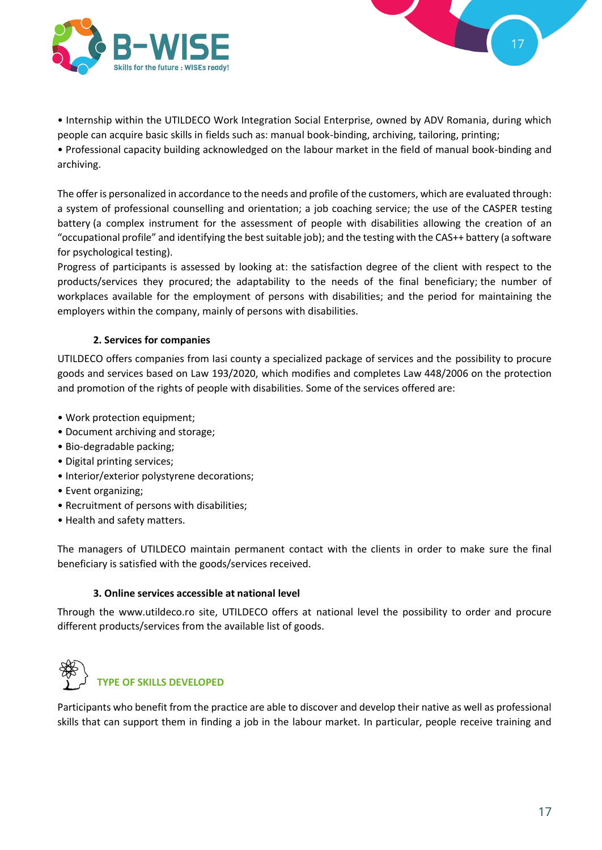![](_page_16_Picture_0.jpeg)

• Internship within the UTILDECO Work Integration Social Enterprise, owned by ADV Romania, during which people can acquire basic skills in fields such as: manual book-binding, archiving, tailoring, printing;

• Professional capacity building acknowledged on the labour market in the field of manual book-binding and archiving.

The offer is personalized in accordance to the needs and profile of the customers, which are evaluated through: a system of professional counselling and orientation; a job coaching service; the use of the CASPER testing battery (a complex instrument for the assessment of people with disabilities allowing the creation of an "occupational profile" and identifying the best suitable job); and the testing with the CAS++ battery (a software for psychological testing).

Progress of participants is assessed by looking at: the satisfaction degree of the client with respect to the products/services they procured; the adaptability to the needs of the final beneficiary; the number of workplaces available for the employment of persons with disabilities; and the period for maintaining the employers within the company, mainly of persons with disabilities.

#### **2. Services for companies**

UTILDECO offers companies from Iasi county a specialized package of services and the possibility to procure goods and services based on Law 193/2020, which modifies and completes Law 448/2006 on the protection and promotion of the rights of people with disabilities. Some of the services offered are:

- Work protection equipment;
- Document archiving and storage;
- Bio-degradable packing;
- Digital printing services;
- Interior/exterior polystyrene decorations;
- Event organizing;
- Recruitment of persons with disabilities;
- Health and safety matters.

The managers of UTILDECO maintain permanent contact with the clients in order to make sure the final beneficiary is satisfied with the goods/services received.

#### **3. Online services accessible at national level**

Through the www.utildeco.ro site, UTILDECO offers at national level the possibility to order and procure different products/services from the available list of goods.

![](_page_16_Picture_18.jpeg)

Participants who benefit from the practice are able to discover and develop their native as well as professional skills that can support them in finding a job in the labour market. In particular, people receive training and

17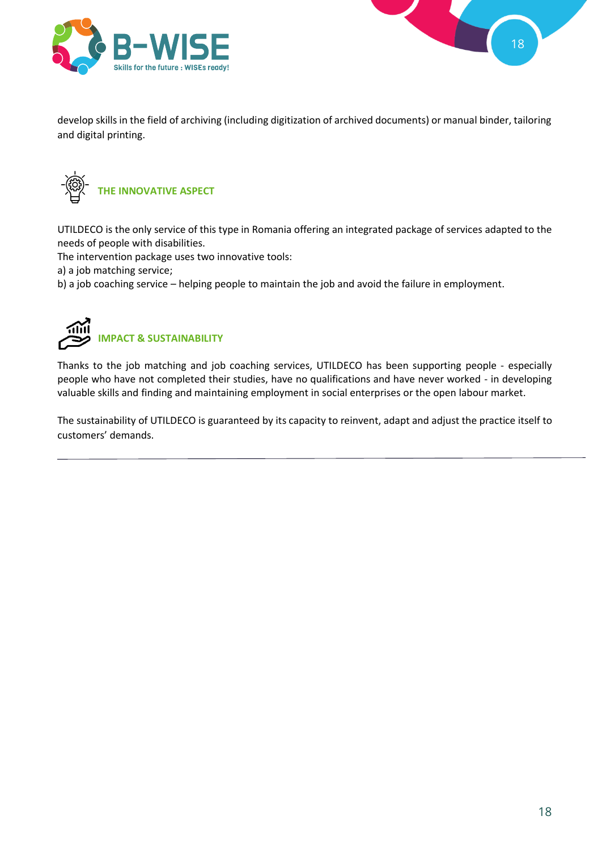![](_page_17_Picture_0.jpeg)

![](_page_17_Figure_1.jpeg)

develop skills in the field of archiving (including digitization of archived documents) or manual binder, tailoring and digital printing.

![](_page_17_Picture_3.jpeg)

UTILDECO is the only service of this type in Romania offering an integrated package of services adapted to the needs of people with disabilities.

The intervention package uses two innovative tools:

a) a job matching service;

b) a job coaching service – helping people to maintain the job and avoid the failure in employment.

![](_page_17_Picture_8.jpeg)

# **IMPACT & SUSTAINABILITY**

Thanks to the job matching and job coaching services, UTILDECO has been supporting people - especially people who have not completed their studies, have no qualifications and have never worked - in developing valuable skills and finding and maintaining employment in social enterprises or the open labour market.

The sustainability of UTILDECO is guaranteed by its capacity to reinvent, adapt and adjust the practice itself to customers' demands.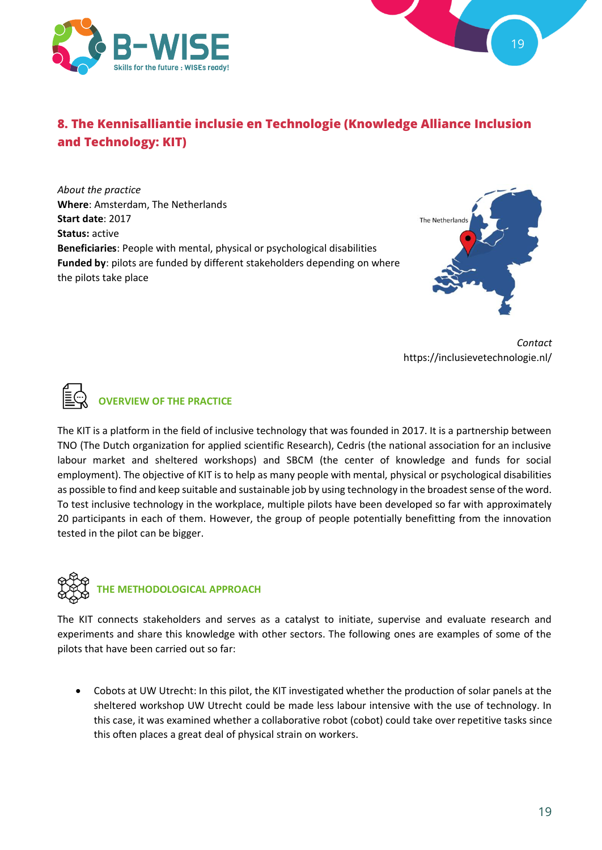![](_page_18_Picture_0.jpeg)

![](_page_18_Figure_1.jpeg)

# **8. The Kennisalliantie inclusie en Technologie (Knowledge Alliance Inclusion and Technology: KIT)**

*About the practice* **Where**: Amsterdam, The Netherlands **Start date**: 2017 **Status:** active **Beneficiaries**: People with mental, physical or psychological disabilities **Funded by**: pilots are funded by different stakeholders depending on where the pilots take place

![](_page_18_Picture_4.jpeg)

*Contact* https://inclusievetechnologie.nl/

![](_page_18_Picture_6.jpeg)

# **OVERVIEW OF THE PRACTICE**

The KIT is a platform in the field of inclusive technology that was founded in 2017. It is a partnership between TNO (The Dutch organization for applied scientific Research), Cedris (the national association for an inclusive labour market and sheltered workshops) and SBCM (the center of knowledge and funds for social employment). The objective of KIT is to help as many people with mental, physical or psychological disabilities as possible to find and keep suitable and sustainable job by using technology in the broadest sense of the word. To test inclusive technology in the workplace, multiple pilots have been developed so far with approximately 20 participants in each of them. However, the group of people potentially benefitting from the innovation tested in the pilot can be bigger.

![](_page_18_Picture_9.jpeg)

#### **THE METHODOLOGICAL APPROACH**

The KIT connects stakeholders and serves as a catalyst to initiate, supervise and evaluate research and experiments and share this knowledge with other sectors. The following ones are examples of some of the pilots that have been carried out so far:

• Cobots at UW Utrecht: In this pilot, the KIT investigated whether the production of solar panels at the sheltered workshop UW Utrecht could be made less labour intensive with the use of technology. In this case, it was examined whether a collaborative robot (cobot) could take over repetitive tasks since this often places a great deal of physical strain on workers.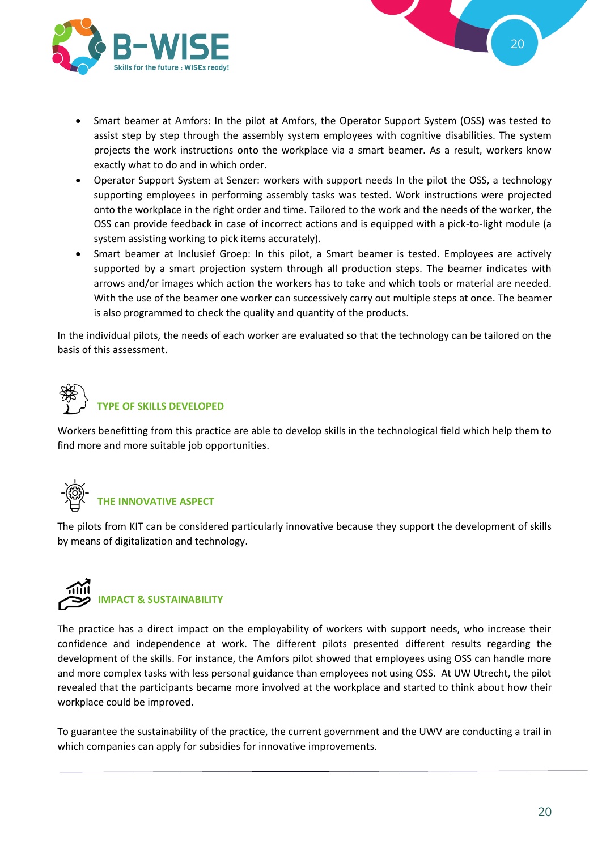![](_page_19_Picture_0.jpeg)

![](_page_19_Figure_1.jpeg)

- Smart beamer at Amfors: In the pilot at Amfors, the Operator Support System (OSS) was tested to assist step by step through the assembly system employees with cognitive disabilities. The system projects the work instructions onto the workplace via a smart beamer. As a result, workers know exactly what to do and in which order.
- Operator Support System at Senzer: workers with support needs In the pilot the OSS, a technology supporting employees in performing assembly tasks was tested. Work instructions were projected onto the workplace in the right order and time. Tailored to the work and the needs of the worker, the OSS can provide feedback in case of incorrect actions and is equipped with a pick-to-light module (a system assisting working to pick items accurately).
- Smart beamer at Inclusief Groep: In this pilot, a Smart beamer is tested. Employees are actively supported by a smart projection system through all production steps. The beamer indicates with arrows and/or images which action the workers has to take and which tools or material are needed. With the use of the beamer one worker can successively carry out multiple steps at once. The beamer is also programmed to check the quality and quantity of the products.

In the individual pilots, the needs of each worker are evaluated so that the technology can be tailored on the basis of this assessment.

![](_page_19_Picture_6.jpeg)

Workers benefitting from this practice are able to develop skills in the technological field which help them to find more and more suitable job opportunities.

![](_page_19_Picture_8.jpeg)

# **THE INNOVATIVE ASPECT**

The pilots from KIT can be considered particularly innovative because they support the development of skills by means of digitalization and technology.

![](_page_19_Picture_11.jpeg)

The practice has a direct impact on the employability of workers with support needs, who increase their confidence and independence at work. The different pilots presented different results regarding the development of the skills. For instance, the Amfors pilot showed that employees using OSS can handle more and more complex tasks with less personal guidance than employees not using OSS. At UW Utrecht, the pilot revealed that the participants became more involved at the workplace and started to think about how their workplace could be improved.

To guarantee the sustainability of the practice, the current government and the UWV are conducting a trail in which companies can apply for subsidies for innovative improvements.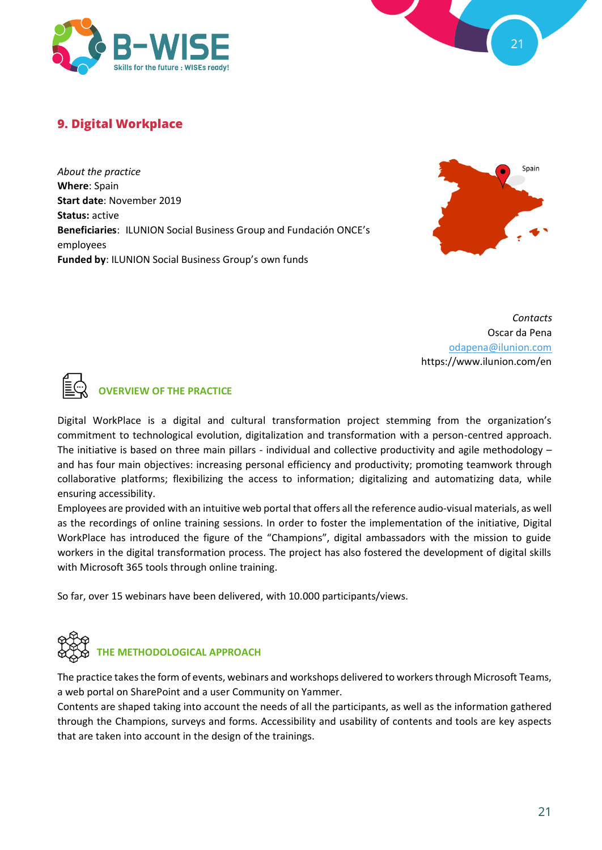![](_page_20_Picture_0.jpeg)

![](_page_20_Figure_1.jpeg)

# **9. Digital Workplace**

*About the practice* **Where**: Spain **Start date**: November 2019 **Status:** active **Beneficiaries**: ILUNION Social Business Group and Fundación ONCE's employees **Funded by**: ILUNION Social Business Group's own funds

![](_page_20_Picture_4.jpeg)

*Contacts* Oscar da Pena [odapena@ilunion.com](mailto:odapena@ilunion.com) https://www.ilunion.com/en

![](_page_20_Picture_6.jpeg)

#### **OVERVIEW OF THE PRACTICE**

Digital WorkPlace is a digital and cultural transformation project stemming from the organization's commitment to technological evolution, digitalization and transformation with a person-centred approach. The initiative is based on three main pillars - individual and collective productivity and agile methodology – and has four main objectives: increasing personal efficiency and productivity; promoting teamwork through collaborative platforms; flexibilizing the access to information; digitalizing and automatizing data, while ensuring accessibility.

Employees are provided with an intuitive web portal that offers all the reference audio-visual materials, as well as the recordings of online training sessions. In order to foster the implementation of the initiative, Digital WorkPlace has introduced the figure of the "Champions", digital ambassadors with the mission to guide workers in the digital transformation process. The project has also fostered the development of digital skills with Microsoft 365 tools through online training.

So far, over 15 webinars have been delivered, with 10.000 participants/views.

![](_page_20_Picture_11.jpeg)

The practice takes the form of events, webinars and workshops delivered to workers through Microsoft Teams, a web portal on SharePoint and a user Community on Yammer.

Contents are shaped taking into account the needs of all the participants, as well as the information gathered through the Champions, surveys and forms. Accessibility and usability of contents and tools are key aspects that are taken into account in the design of the trainings.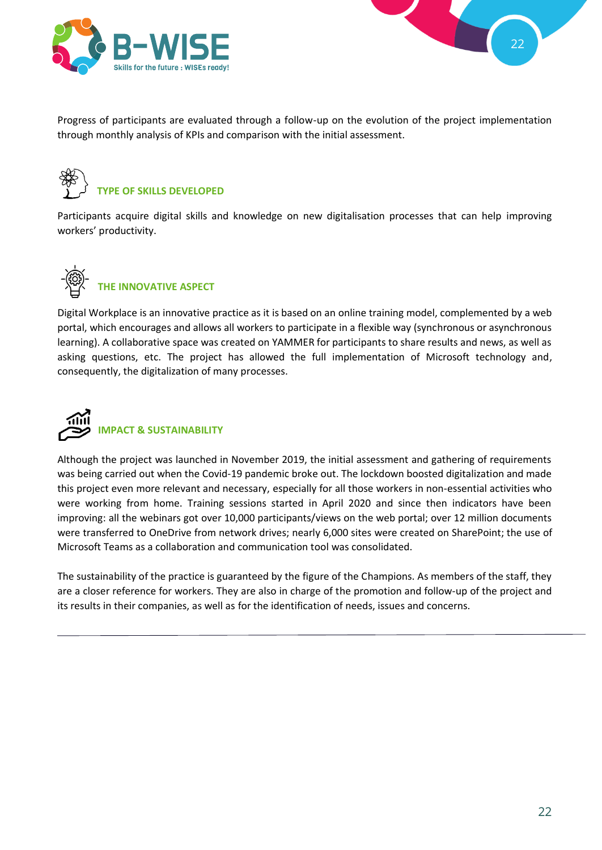![](_page_21_Picture_0.jpeg)

![](_page_21_Figure_1.jpeg)

Progress of participants are evaluated through a follow-up on the evolution of the project implementation through monthly analysis of KPIs and comparison with the initial assessment.

![](_page_21_Picture_3.jpeg)

# **TYPE OF SKILLS DEVELOPED**

Participants acquire digital skills and knowledge on new digitalisation processes that can help improving workers' productivity.

![](_page_21_Picture_6.jpeg)

# **THE INNOVATIVE ASPECT**

Digital Workplace is an innovative practice as it is based on an online training model, complemented by a web portal, which encourages and allows all workers to participate in a flexible way (synchronous or asynchronous learning). A collaborative space was created on YAMMER for participants to share results and news, as well as asking questions, etc. The project has allowed the full implementation of Microsoft technology and, consequently, the digitalization of many processes.

![](_page_21_Picture_9.jpeg)

## **IMPACT & SUSTAINABILITY**

Although the project was launched in November 2019, the initial assessment and gathering of requirements was being carried out when the Covid-19 pandemic broke out. The lockdown boosted digitalization and made this project even more relevant and necessary, especially for all those workers in non-essential activities who were working from home. Training sessions started in April 2020 and since then indicators have been improving: all the webinars got over 10,000 participants/views on the web portal; over 12 million documents were transferred to OneDrive from network drives; nearly 6,000 sites were created on SharePoint; the use of Microsoft Teams as a collaboration and communication tool was consolidated.

The sustainability of the practice is guaranteed by the figure of the Champions. As members of the staff, they are a closer reference for workers. They are also in charge of the promotion and follow-up of the project and its results in their companies, as well as for the identification of needs, issues and concerns.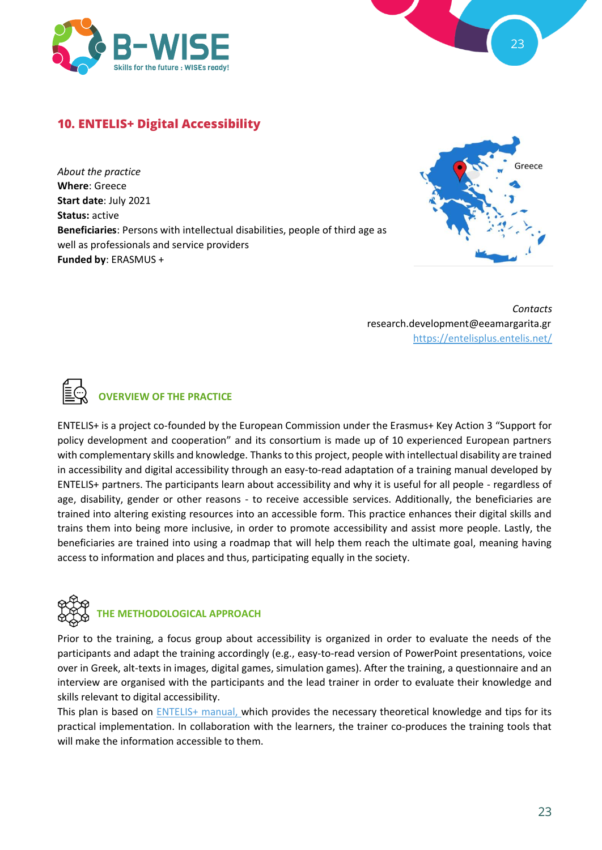![](_page_22_Picture_0.jpeg)

![](_page_22_Figure_1.jpeg)

## **10. ENTELIS+ Digital Accessibility**

*About the practice* **Where**: Greece **Start date**: July 2021 **Status:** active **Beneficiaries**: Persons with intellectual disabilities, people of third age as well as professionals and service providers **Funded by**: ERASMUS +

![](_page_22_Figure_4.jpeg)

*Contacts* research.development@eeamargarita.gr <https://entelisplus.entelis.net/>

![](_page_22_Picture_6.jpeg)

#### **OVERVIEW OF THE PRACTICE**

ENTELIS+ is a project co-founded by the European Commission under the Erasmus+ Key Action 3 "Support for policy development and cooperation" and its consortium is made up of 10 experienced European partners with complementary skills and knowledge. Thanks to this project, people with intellectual disability are trained in accessibility and digital accessibility through an easy-to-read adaptation of a training manual developed by ENTELIS+ partners. The participants learn about accessibility and why it is useful for all people - regardless of age, disability, gender or other reasons - to receive accessible services. Additionally, the beneficiaries are trained into altering existing resources into an accessible form. This practice enhances their digital skills and trains them into being more inclusive, in order to promote accessibility and assist more people. Lastly, the beneficiaries are trained into using a roadmap that will help them reach the ultimate goal, meaning having access to information and places and thus, participating equally in the society.

![](_page_22_Picture_9.jpeg)

#### **THE METHODOLOGICAL APPROACH**

Prior to the training, a focus group about accessibility is organized in order to evaluate the needs of the participants and adapt the training accordingly (e.g., easy-to-read version of PowerPoint presentations, voice over in Greek, alt-texts in images, digital games, simulation games). After the training, a questionnaire and an interview are organised with the participants and the lead trainer in order to evaluate their knowledge and skills relevant to digital accessibility.

This plan is based on **ENTELIS+** manual, which provides the necessary theoretical knowledge and tips for its practical implementation. In collaboration with the learners, the trainer co-produces the training tools that will make the information accessible to them.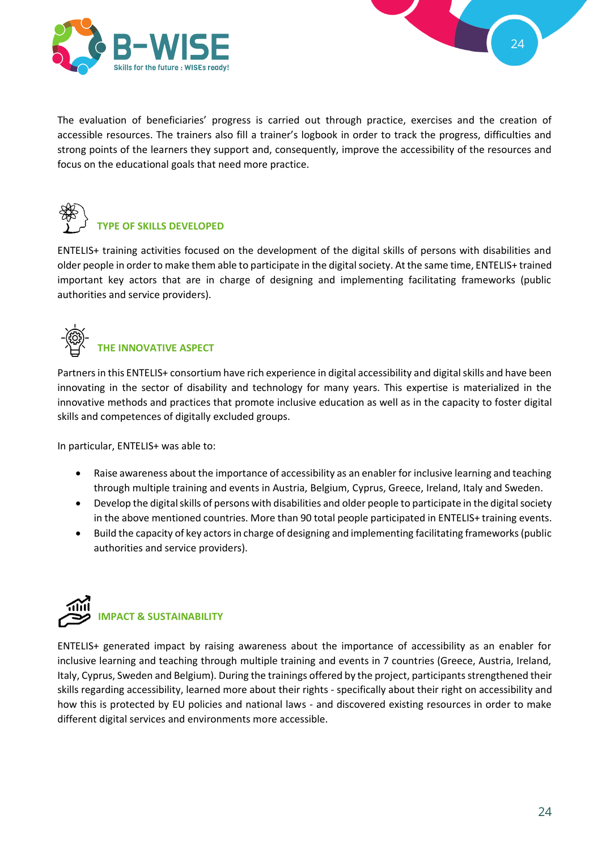![](_page_23_Picture_0.jpeg)

![](_page_23_Figure_1.jpeg)

The evaluation of beneficiaries' progress is carried out through practice, exercises and the creation of accessible resources. The trainers also fill a trainer's logbook in order to track the progress, difficulties and strong points of the learners they support and, consequently, improve the accessibility of the resources and focus on the educational goals that need more practice.

![](_page_23_Picture_3.jpeg)

# **TYPE OF SKILLS DEVELOPED**

ENTELIS+ training activities focused on the development of the digital skills of persons with disabilities and older people in order to make them able to participate in the digital society. At the same time, ENTELIS+ trained important key actors that are in charge of designing and implementing facilitating frameworks (public authorities and service providers).

![](_page_23_Picture_6.jpeg)

# **THE INNOVATIVE ASPECT**

Partners in this ENTELIS+ consortium have rich experience in digital accessibility and digital skills and have been innovating in the sector of disability and technology for many years. This expertise is materialized in the innovative methods and practices that promote inclusive education as well as in the capacity to foster digital skills and competences of digitally excluded groups.

In particular, ENTELIS+ was able to:

- Raise awareness about the importance of accessibility as an enabler for inclusive learning and teaching through multiple training and events in Austria, Belgium, Cyprus, Greece, Ireland, Italy and Sweden.
- Develop the digital skills of persons with disabilities and older people to participate in the digital society in the above mentioned countries. More than 90 total people participated in ENTELIS+ training events.
- Build the capacity of key actors in charge of designing and implementing facilitating frameworks (public authorities and service providers).

![](_page_23_Picture_13.jpeg)

ENTELIS+ generated impact by raising awareness about the importance of accessibility as an enabler for inclusive learning and teaching through multiple training and events in 7 countries (Greece, Austria, Ireland, Italy, Cyprus, Sweden and Belgium). During the trainings offered by the project, participantsstrengthened their skills regarding accessibility, learned more about their rights - specifically about their right on accessibility and how this is protected by EU policies and national laws - and discovered existing resources in order to make different digital services and environments more accessible.